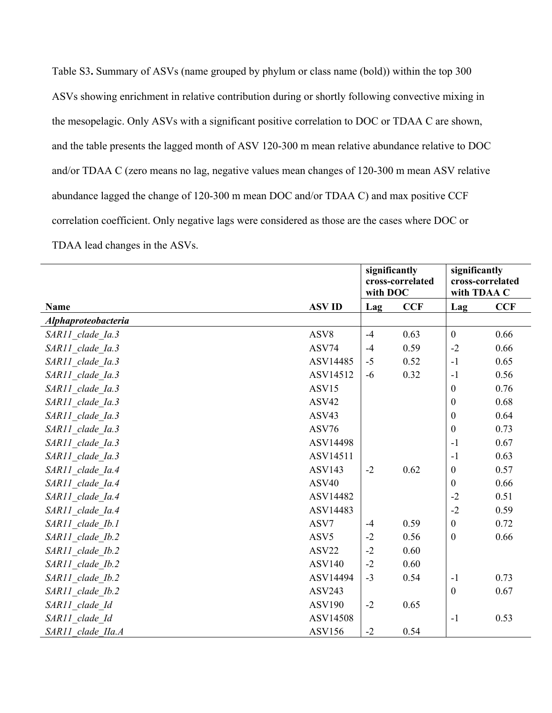Table S3**.** Summary of ASVs (name grouped by phylum or class name (bold)) within the top 300 ASVs showing enrichment in relative contribution during or shortly following convective mixing in the mesopelagic. Only ASVs with a significant positive correlation to DOC or TDAA C are shown, and the table presents the lagged month of ASV 120-300 m mean relative abundance relative to DOC and/or TDAA C (zero means no lag, negative values mean changes of 120-300 m mean ASV relative abundance lagged the change of 120-300 m mean DOC and/or TDAA C) and max positive CCF correlation coefficient. Only negative lags were considered as those are the cases where DOC or TDAA lead changes in the ASVs.

|                     |                   | significantly<br>cross-correlated<br>with DOC |            | significantly<br>cross-correlated<br>with TDAA C |            |
|---------------------|-------------------|-----------------------------------------------|------------|--------------------------------------------------|------------|
| Name                | <b>ASVID</b>      | Lag                                           | <b>CCF</b> | Lag                                              | <b>CCF</b> |
| Alphaproteobacteria |                   |                                               |            |                                                  |            |
| SAR11 clade Ia.3    | ASV8              | $-4$                                          | 0.63       | $\mathbf{0}$                                     | 0.66       |
| SAR11_clade_Ia.3    | ASV74             | $-4$                                          | 0.59       | $-2$                                             | 0.66       |
| SAR11 clade Ia.3    | ASV14485          | $-5$                                          | 0.52       | $-1$                                             | 0.65       |
| SAR11 clade Ia.3    | ASV14512          | $-6$                                          | 0.32       | $-1$                                             | 0.56       |
| SAR11 clade Ia.3    | ASV15             |                                               |            | $\boldsymbol{0}$                                 | 0.76       |
| SAR11 clade Ia.3    | ASV42             |                                               |            | $\mathbf{0}$                                     | 0.68       |
| SAR11 clade Ia.3    | ASV43             |                                               |            | $\boldsymbol{0}$                                 | 0.64       |
| SAR11 clade Ia.3    | ASV76             |                                               |            | $\boldsymbol{0}$                                 | 0.73       |
| SAR11 clade Ia.3    | ASV14498          |                                               |            | $-1$                                             | 0.67       |
| SAR11 clade Ia.3    | ASV14511          |                                               |            | $-1$                                             | 0.63       |
| SAR11 clade Ia.4    | <b>ASV143</b>     | $-2$                                          | 0.62       | $\mathbf{0}$                                     | 0.57       |
| SAR11 clade Ia.4    | ASV <sub>40</sub> |                                               |            | $\mathbf{0}$                                     | 0.66       |
| SAR11_clade_Ia.4    | ASV14482          |                                               |            | $-2$                                             | 0.51       |
| SAR11 clade Ia.4    | ASV14483          |                                               |            | $-2$                                             | 0.59       |
| SAR11 clade Ib.1    | ASV7              | $-4$                                          | 0.59       | $\mathbf{0}$                                     | 0.72       |
| SAR11 clade Ib.2    | ASV5              | $-2$                                          | 0.56       | $\overline{0}$                                   | 0.66       |
| SAR11 clade Ib.2    | ASV22             | $-2$                                          | 0.60       |                                                  |            |
| SAR11 clade Ib.2    | <b>ASV140</b>     | $-2$                                          | 0.60       |                                                  |            |
| SAR11 clade Ib.2    | ASV14494          | $-3$                                          | 0.54       | $-1$                                             | 0.73       |
| SAR11 clade Ib.2    | <b>ASV243</b>     |                                               |            | $\mathbf{0}$                                     | 0.67       |
| SAR11 clade Id      | <b>ASV190</b>     | $-2$                                          | 0.65       |                                                  |            |
| SAR11 clade Id      | ASV14508          |                                               |            | $-1$                                             | 0.53       |
| SAR11 clade IIa.A   | <b>ASV156</b>     | $-2$                                          | 0.54       |                                                  |            |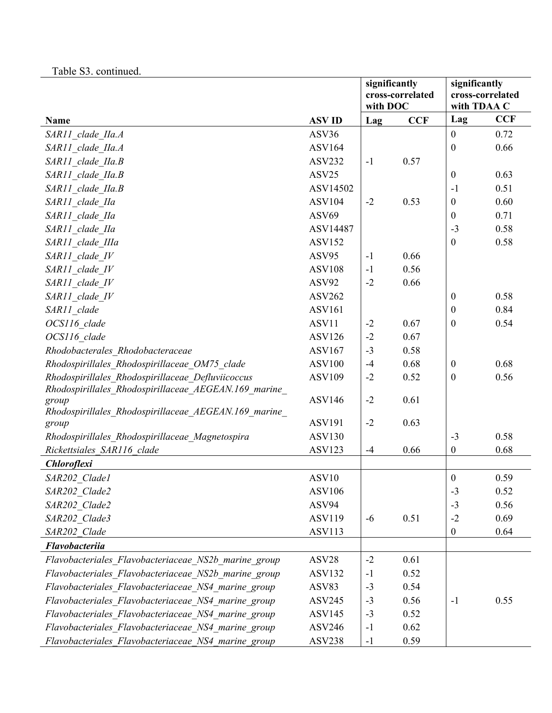| Table S3. continued. |  |
|----------------------|--|
|----------------------|--|

|                                                      |               | significantly<br>cross-correlated |            | significantly<br>cross-correlated |            |
|------------------------------------------------------|---------------|-----------------------------------|------------|-----------------------------------|------------|
|                                                      |               |                                   |            |                                   |            |
|                                                      |               | with DOC                          |            | with TDAA C                       |            |
| Name                                                 | <b>ASVID</b>  | Lag                               | <b>CCF</b> | Lag                               | <b>CCF</b> |
| SAR11 clade IIa.A                                    | ASV36         |                                   |            | $\boldsymbol{0}$                  | 0.72       |
| SAR11 clade IIa.A                                    | <b>ASV164</b> |                                   |            | $\boldsymbol{0}$                  | 0.66       |
| SAR11 clade IIa.B                                    | <b>ASV232</b> | $-1$                              | 0.57       |                                   |            |
| SAR11 clade IIa.B                                    | ASV25         |                                   |            | $\mathbf{0}$                      | 0.63       |
| SAR11 clade IIa.B                                    | ASV14502      |                                   |            | $-1$                              | 0.51       |
| SAR11 clade IIa                                      | <b>ASV104</b> | $-2$                              | 0.53       | $\boldsymbol{0}$                  | 0.60       |
| SAR11 clade IIa                                      | ASV69         |                                   |            | $\boldsymbol{0}$                  | 0.71       |
| SAR11 clade IIa                                      | ASV14487      |                                   |            | $-3$                              | 0.58       |
| SAR11 clade IIIa                                     | <b>ASV152</b> |                                   |            | $\boldsymbol{0}$                  | 0.58       |
| SAR11 clade IV                                       | ASV95         | $-1$                              | 0.66       |                                   |            |
| SAR11 clade IV                                       | <b>ASV108</b> | $-1$                              | 0.56       |                                   |            |
| SAR11 clade IV                                       | ASV92         | $-2$                              | 0.66       |                                   |            |
| SAR11 clade IV                                       | <b>ASV262</b> |                                   |            | $\boldsymbol{0}$                  | 0.58       |
| SAR11 clade                                          | <b>ASV161</b> |                                   |            | $\boldsymbol{0}$                  | 0.84       |
| OCS116 clade                                         | ASV11         | $-2$                              | 0.67       | $\boldsymbol{0}$                  | 0.54       |
| OCS116 clade                                         | <b>ASV126</b> | $-2$                              | 0.67       |                                   |            |
| Rhodobacterales Rhodobacteraceae                     | <b>ASV167</b> | $-3$                              | 0.58       |                                   |            |
| Rhodospirillales Rhodospirillaceae OM75 clade        | <b>ASV100</b> | $-4$                              | 0.68       | $\boldsymbol{0}$                  | 0.68       |
| Rhodospirillales Rhodospirillaceae Defluviicoccus    | <b>ASV109</b> | $-2$                              | 0.52       | $\boldsymbol{0}$                  | 0.56       |
| Rhodospirillales Rhodospirillaceae AEGEAN.169 marine |               |                                   |            |                                   |            |
| group                                                | <b>ASV146</b> | $-2$                              | 0.61       |                                   |            |
| Rhodospirillales Rhodospirillaceae AEGEAN.169 marine |               |                                   |            |                                   |            |
| group                                                | <b>ASV191</b> | $-2$                              | 0.63       |                                   |            |
| Rhodospirillales Rhodospirillaceae Magnetospira      | <b>ASV130</b> |                                   |            | $-3$                              | 0.58       |
| Rickettsiales SAR116 clade                           | <b>ASV123</b> | $-4$                              | 0.66       | $\boldsymbol{0}$                  | 0.68       |
| <b>Chloroflexi</b>                                   |               |                                   |            |                                   |            |
| SAR202 Clade1                                        | ASV10         |                                   |            | $\mathbf{0}$                      | 0.59       |
| SAR202 Clade2                                        | <b>ASV106</b> |                                   |            | $-3$                              | 0.52       |
| SAR202 Clade2                                        | ASV94         |                                   |            | $-3$                              | 0.56       |
| SAR202 Clade3                                        | ASV119        | $-6$                              | 0.51       | $-2$                              | 0.69       |
| SAR202 Clade                                         | <b>ASV113</b> |                                   |            | $\boldsymbol{0}$                  | 0.64       |
| Flavobacteriia                                       |               |                                   |            |                                   |            |
| Flavobacteriales Flavobacteriaceae NS2b marine group | ASV28         | $-2$                              | 0.61       |                                   |            |
| Flavobacteriales Flavobacteriaceae NS2b marine group | <b>ASV132</b> | $-1$                              | 0.52       |                                   |            |
| Flavobacteriales Flavobacteriaceae NS4 marine group  | ASV83         | $-3$                              | 0.54       |                                   |            |
| Flavobacteriales Flavobacteriaceae NS4 marine group  | <b>ASV245</b> | $-3$                              | 0.56       | $-1$                              | 0.55       |
| Flavobacteriales Flavobacteriaceae NS4 marine group  | <b>ASV145</b> | $-3$                              | 0.52       |                                   |            |
| Flavobacteriales Flavobacteriaceae NS4 marine group  | <b>ASV246</b> | $-1$                              | 0.62       |                                   |            |
| Flavobacteriales Flavobacteriaceae NS4 marine group  | <b>ASV238</b> | $-1$                              | 0.59       |                                   |            |